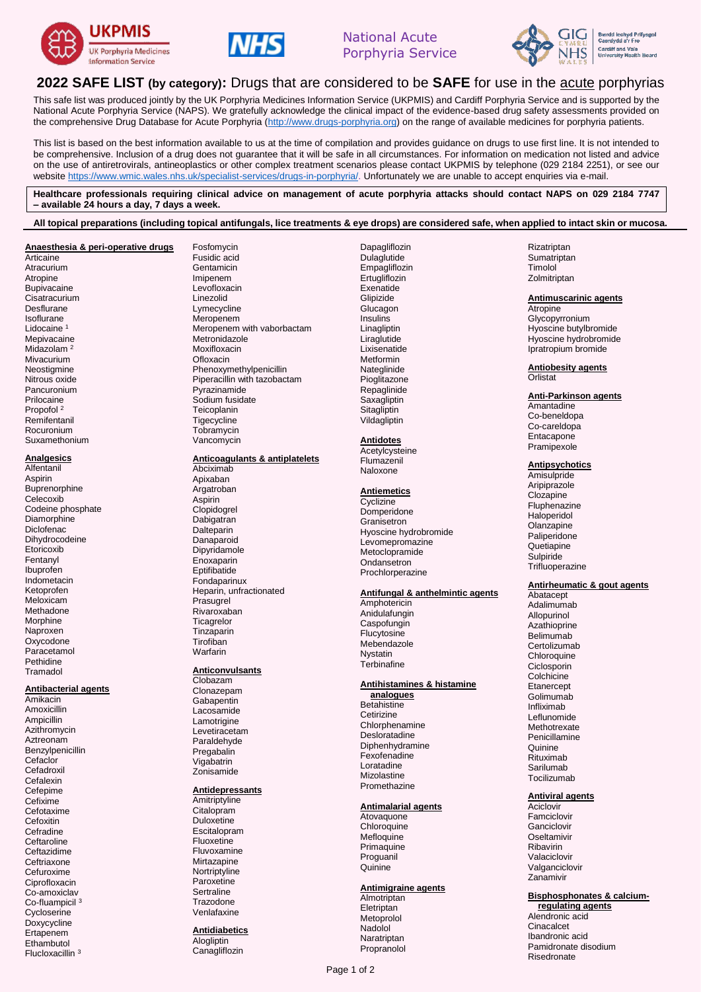





# **2022 SAFE LIST (by category):** Drugs that are considered to be **SAFE** for use in the acute porphyrias

This safe list was produced jointly by the UK Porphyria Medicines Information Service (UKPMIS) and Cardiff Porphyria Service and is supported by the National Acute Porphyria Service (NAPS). We gratefully acknowledge the clinical impact of the evidence-based drug safety assessments provided on the comprehensive Drug Database for Acute Porphyria [\(http://www.drugs-porphyria.org\)](http://www.drugs-porphyria.org/) on the range of available medicines for porphyria patients.

This list is based on the best information available to us at the time of compilation and provides guidance on drugs to use first line. It is not intended to be comprehensive. Inclusion of a drug does not guarantee that it will be safe in all circumstances. For information on medication not listed and advice on the use of antiretrovirals, antineoplastics or other complex treatment scenarios please contact UKPMIS by telephone (029 2184 2251), or see our websit[e https://www.wmic.wales.nhs.uk/specialist-services/drugs-in-porphyria/.](https://www.wmic.wales.nhs.uk/specialist-services/drugs-in-porphyria/) Unfortunately we are unable to accept enquiries via e-mail.

**Healthcare professionals requiring clinical advice on management of acute porphyria attacks should contact NAPS on 029 2184 7747 – available 24 hours a day, 7 days a week.**

**All topical preparations (including topical antifungals, lice treatments & eye drops) are considered safe, when applied to intact skin or mucosa.**

#### **Anaesthesia & peri-operative drugs Articaine Atracurium** Atropine **Bupivacaine** Cisatracurium Desflurane Isoflurane Lidocaine <sup>1</sup> Mepivacaine Midazolam<sup>2</sup> Mivacurium Neostigmine Nitrous oxide Pancuronium Prilocaine Propofol<sup>2</sup> **Remifentanil** Rocuronium Suxamethonium

**Analgesics**

**Alfentanil** Aspirin **Buprenorphine** Celecoxib Codeine phosphate **Diamorphine Diclofenac** Dihydrocodeine **Etoricoxib** Fentanyl Ibuprofen Indometacin Ketoprofen Meloxicam Methadone Morphine Naproxen Oxycodone Paracetamol **Pethidine** 

## **Antibacterial agents**

Tramadol

Amikacin Amoxicillin Ampicillin Azithromycin Aztreonam Benzylpenicillin **Cefaclor Cefadroxil Cefalexin** Cefepime Cefixime Cefotaxime Cefoxitin Cefradine Ceftaroline Ceftazidime Ceftriaxone Cefuroxime Ciprofloxacin Co-amoxiclav Co-fluampicil <sup>3</sup> **Cycloserine** Doxycycline Ertapenem **Ethambutol** Flucloxacillin <sup>3</sup>

Fosfomycin Fusidic acid Gentamicin Imipenem Levofloxacin Linezolid Lymecycline Meropenem Meropenem with vaborbactam Metronidazole Moviflovacin Ofloxacin Phenoxymethylpenicillin Piperacillin with tazobactam Pyrazinamide Sodium fusidate Teicoplanin Tigecycline **Tobramycin** Vancomycin

## **Anticoagulants & antiplatelets**

Abciximab Apixaban Argatroban Aspirin Clopidogrel Dabigatran Dalteparin Danaparoid Dipyridamole **Enoxaparin Eptifibatide** Fondaparinux Heparin, unfractionated Prasugrel Rivaroxaban **Ticagrelor** Tinzaparin Tirofiban Warfarin

### **Anticonvulsants**

Clobazam Clonazepam Gabapentin Lacosamide Lamotrigine Levetiracetam Paraldehyde Pregabalin Vigabatrin Zonisamide

### **Antidepressants**

**Amitriptyline** Citalopram **Duloxetine** Escitalopram Fluoxetine Fluvoxamine **Mirtazapine Nortriptyline** Paroxetine **Sertraline** Trazodone Venlafaxine

**Antidiabetics Alogliptin Canagliflozin** 

Dapagliflozin Dulaglutide Empagliflozin **Ertugliflozin Exenatide Glipizide Glucagon** Insulins **Linagliptin** Liraglutide Lixisenatide Metformin Nateglinide Pioglitazone Repaglinide **Saxagliptin Sitagliptin** Vildagliptin

### **Antidotes**

**Acetylcysteine** Flumazenil Naloxone

#### **Antiemetics**

**Cyclizine** Domperidone Granisetron Hyoscine hydrobromide Levomepromazine Metoclopramide **Ondansetron** Prochlorperazine

## **Antifungal & anthelmintic agents**

Amphotericin Anidulafungin **Caspofungin** Flucytosine Mebendazole Nystatin **Terbinafine** 

## **Antihistamines & histamine**

**analogues Betahistine Cetirizine Chlorphenamine** Desloratadine Diphenhydramine Fexofenadine Loratadine Mizolastine Promethazine

### **Antimalarial agents**

Atovaquone **Chloroquine Mefloquine** Primaguine Proguanil **Quinine** 

### **Antimigraine agents**

Almotriptan Eletriptan Metoprolol Nadolol Naratriptan Propranolol Glycopyrronium

Hyoscine butylbromide Hyoscine hydrobromide Ipratropium bromide

**Antiobesity agents Orlistat** 

### **Anti-Parkinson agents**

Amantadine Co-beneldopa Co-careldopa Entacapone Pramipexole

**Antipsychotics**

Amisulpride Aripiprazole Clozapine **Fluphenazine** Haloperidol Olanzapine Paliperidone Quetiapine **Sulpiride** Trifluoperazine

### **Antirheumatic & gout agents**

Abatacept Adalimumab Allopurinol Azathioprine Belimumab **Certolizumab Chloroquine** Ciclosporin Colchicine **Etanercept** Golimumab Infliximab Leflunomide **Methotrexate** Penicillamine **Quinine** Rituximab Sarilumab Tocilizumab

## **Antiviral agents**

Aciclovir Famciclovir Ganciclovir Oseltamivir Ribavirin Valaciclovir Valganciclovir Zanamivir

## **Bisphosphonates & calcium-**

**regulating agents** Alendronic acid Cinacalcet Ibandronic acid Pamidronate disodium Risedronate

## Zolmitriptan **Antimuscarinic agents Atropine**

Rizatriptan **Sumatriptan** Timolol